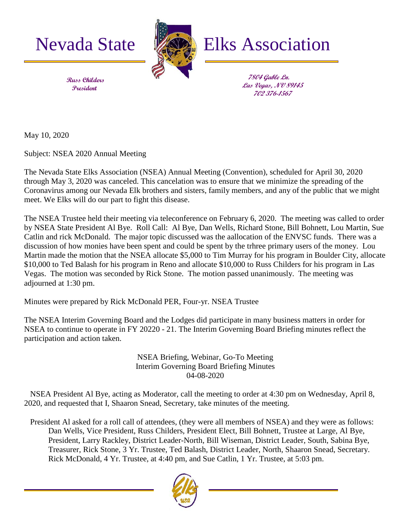



Nevada State **Elks** Elks Association

**7804 Gable Ln. Las Vegas, NV 89145 702 376-1567**

 **Russ Childers President**

May 10, 2020

Subject: NSEA 2020 Annual Meeting

The Nevada State Elks Association (NSEA) Annual Meeting (Convention), scheduled for April 30, 2020 through May 3, 2020 was canceled. This cancelation was to ensure that we minimize the spreading of the Coronavirus among our Nevada Elk brothers and sisters, family members, and any of the public that we might meet. We Elks will do our part to fight this disease.

The NSEA Trustee held their meeting via teleconference on February 6, 2020. The meeting was called to order by NSEA State President Al Bye. Roll Call: Al Bye, Dan Wells, Richard Stone, Bill Bohnett, Lou Martin, Sue Catlin and rick McDonald. The major topic discussed was the aallocation of the ENVSC funds. There was a discussion of how monies have been spent and could be spent by the trhree primary users of the money. Lou Martin made the motion that the NSEA allocate \$5,000 to Tim Murray for his program in Boulder City, allocate \$10,000 to Ted Balash for his program in Reno and allocate \$10,000 to Russ Childers for his program in Las Vegas. The motion was seconded by Rick Stone. The motion passed unanimously. The meeting was adjourned at 1:30 pm.

Minutes were prepared by Rick McDonald PER, Four-yr. NSEA Trustee

The NSEA Interim Governing Board and the Lodges did participate in many business matters in order for NSEA to continue to operate in FY 20220 - 21. The Interim Governing Board Briefing minutes reflect the participation and action taken.

> NSEA Briefing, Webinar, Go-To Meeting Interim Governing Board Briefing Minutes 04-08-2020

 NSEA President Al Bye, acting as Moderator, call the meeting to order at 4:30 pm on Wednesday, April 8, 2020, and requested that I, Shaaron Snead, Secretary, take minutes of the meeting.

 President Al asked for a roll call of attendees, (they were all members of NSEA) and they were as follows: Dan Wells, Vice President, Russ Childers, President Elect, Bill Bohnett, Trustee at Large, Al Bye, President, Larry Rackley, District Leader-North, Bill Wiseman, District Leader, South, Sabina Bye, Treasurer, Rick Stone, 3 Yr. Trustee, Ted Balash, District Leader, North, Shaaron Snead, Secretary. Rick McDonald, 4 Yr. Trustee, at 4:40 pm, and Sue Catlin, 1 Yr. Trustee, at 5:03 pm.

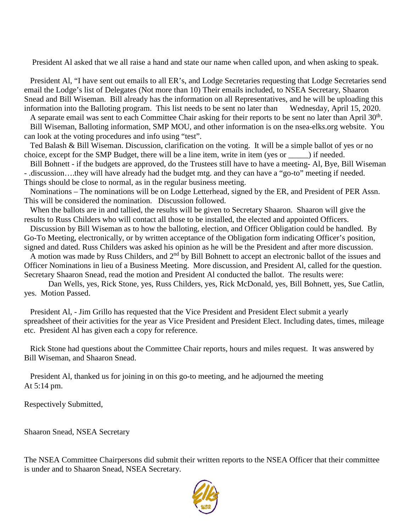President Al asked that we all raise a hand and state our name when called upon, and when asking to speak.

 President Al, "I have sent out emails to all ER's, and Lodge Secretaries requesting that Lodge Secretaries send email the Lodge's list of Delegates (Not more than 10) Their emails included, to NSEA Secretary, Shaaron Snead and Bill Wiseman. Bill already has the information on all Representatives, and he will be uploading this information into the Balloting program. This list needs to be sent no later than Wednesday, April 15, 2020.

A separate email was sent to each Committee Chair asking for their reports to be sent no later than April  $30<sup>th</sup>$ . Bill Wiseman, Balloting information, SMP MOU, and other information is on the nsea-elks.org website. You can look at the voting procedures and info using "test".

 Ted Balash & Bill Wiseman. Discussion, clarification on the voting. It will be a simple ballot of yes or no choice, except for the SMP Budget, there will be a line item, write in item (yes or \_\_\_\_\_) if needed.

 Bill Bohnett - if the budgets are approved, do the Trustees still have to have a meeting- Al, Bye, Bill Wiseman - .discussion….they will have already had the budget mtg. and they can have a "go-to" meeting if needed. Things should be close to normal, as in the regular business meeting.

 Nominations – The nominations will be on Lodge Letterhead, signed by the ER, and President of PER Assn. This will be considered the nomination. Discussion followed.

 When the ballots are in and tallied, the results will be given to Secretary Shaaron. Shaaron will give the results to Russ Childers who will contact all those to be installed, the elected and appointed Officers.

 Discussion by Bill Wiseman as to how the balloting, election, and Officer Obligation could be handled. By Go-To Meeting, electronically, or by written acceptance of the Obligation form indicating Officer's position, signed and dated. Russ Childers was asked his opinion as he will be the President and after more discussion.

A motion was made by Russ Childers, and  $2<sup>nd</sup>$  by Bill Bohnett to accept an electronic ballot of the issues and Officer Nominations in lieu of a Business Meeting. More discussion, and President Al, called for the question. Secretary Shaaron Snead, read the motion and President Al conducted the ballot. The results were:

Dan Wells, yes, Rick Stone, yes, Russ Childers, yes, Rick McDonald, yes, Bill Bohnett, yes, Sue Catlin, yes. Motion Passed.

President Al, - Jim Grillo has requested that the Vice President and President Elect submit a yearly spreadsheet of their activities for the year as Vice President and President Elect. Including dates, times, mileage etc. President Al has given each a copy for reference.

 Rick Stone had questions about the Committee Chair reports, hours and miles request. It was answered by Bill Wiseman, and Shaaron Snead.

 President Al, thanked us for joining in on this go-to meeting, and he adjourned the meeting At 5:14 pm.

Respectively Submitted,

Shaaron Snead, NSEA Secretary

The NSEA Committee Chairpersons did submit their written reports to the NSEA Officer that their committee is under and to Shaaron Snead, NSEA Secretary.

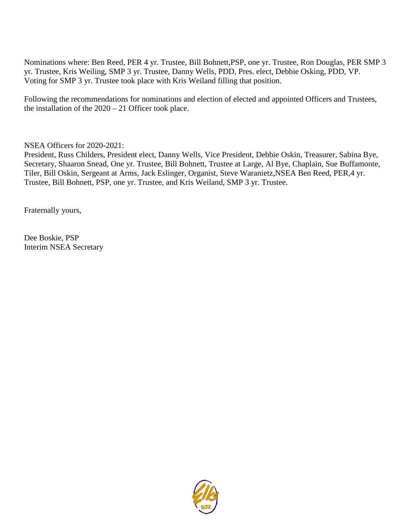Nominations where: Ben Reed, PER 4 yr. Trustee, Bill Bohnett,PSP, one yr. Trustee, Ron Douglas, PER SMP 3 yr. Trustee, Kris Weiling, SMP 3 yr. Trustee, Danny Wells, PDD, Pres. elect, Debbie Osking, PDD, VP. Voting for SMP 3 yr. Trustee took place with Kris Weiland filling that position.

Following the recommendations for nominations and election of elected and appointed Officers and Trustees, the installation of the  $2020 - 21$  Officer took place.

NSEA Officers for 2020-2021:

President, Russ Childers, President elect, Danny Wells, Vice President, Debbie Oskin, Treasurer, Sabina Bye, Secretary, Shaaron Snead, One yr. Trustee, Bill Bohnett, Trustee at Large, Al Bye, Chaplain, Sue Buffamonte, Tiler, Bill Oskin, Sergeant at Arms, Jack Eslinger, Organist, Steve Waranietz,NSEA Ben Reed, PER,4 yr. Trustee, Bill Bohnett, PSP, one yr. Trustee, and Kris Weiland, SMP 3 yr. Trustee.

Fraternally yours,

Dee Boskie, PSP Interim NSEA Secretary

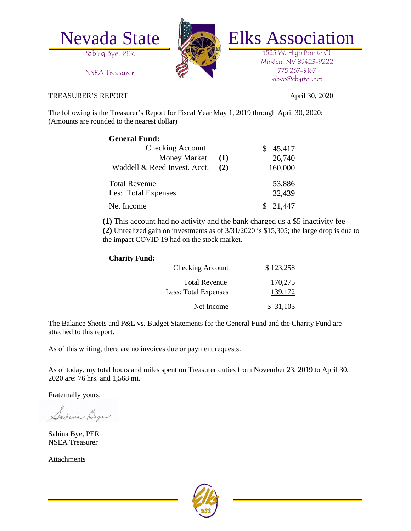



Nevada State Elks Association

1525 W. High Pointe Ct Minden, NV 89423-9222 775 267-9167 ssbye@charter.net

NSEA Treasurer

## TREASURER'S REPORT April 30, 2020

The following is the Treasurer's Report for Fiscal Year May 1, 2019 through April 30, 2020: (Amounts are rounded to the nearest dollar)

| <b>General Fund:</b>         |     |             |
|------------------------------|-----|-------------|
| <b>Checking Account</b>      |     | 45,417<br>S |
| <b>Money Market</b>          | (1) | 26,740      |
| Waddell & Reed Invest. Acct. | (2) | 160,000     |
| <b>Total Revenue</b>         |     | 53,886      |
| Les: Total Expenses          |     | 32,439      |
| Net Income                   |     | \$21,447    |

**(1)** This account had no activity and the bank charged us a \$5 inactivity fee **(2)** Unrealized gain on investments as of 3/31/2020 is \$15,305; the large drop is due to the impact COVID 19 had on the stock market.

## **Charity Fund:**

| <b>Checking Account</b>                      | \$123,258          |
|----------------------------------------------|--------------------|
| <b>Total Revenue</b><br>Less: Total Expenses | 170,275<br>139,172 |
| Net Income                                   | \$31,103           |

The Balance Sheets and P&L vs. Budget Statements for the General Fund and the Charity Fund are attached to this report.

As of this writing, there are no invoices due or payment requests.

As of today, my total hours and miles spent on Treasurer duties from November 23, 2019 to April 30, 2020 are: 76 hrs. and 1,568 mi.

Fraternally yours,

Japina Bye

Sabina Bye, PER NSEA Treasurer

Attachments

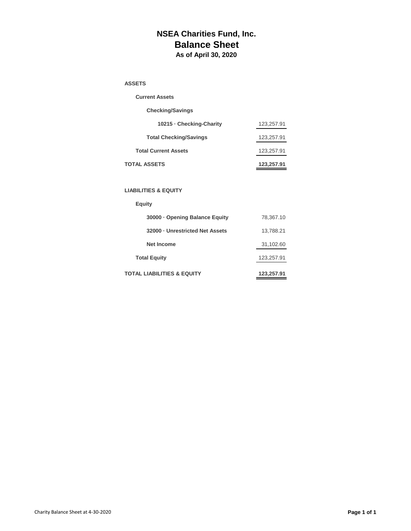## **NSEA Charities Fund, Inc. Balance Sheet As of April 30, 2020**

#### **ASSETS**

| <b>Current Assets</b>         |            |
|-------------------------------|------------|
| <b>Checking/Savings</b>       |            |
| 10215 - Checking-Charity      | 123,257.91 |
| <b>Total Checking/Savings</b> | 123,257.91 |
| <b>Total Current Assets</b>   | 123,257.91 |
| TOTAL ASSETS                  | 123.257.91 |

#### **LIABILITIES & EQUITY**

# **Equity**

| 30000 - Opening Balance Equity  | 78,367.10  |
|---------------------------------|------------|
| 32000 - Unrestricted Net Assets | 13,788.21  |
| <b>Net Income</b>               | 31,102.60  |
| <b>Total Equity</b>             | 123,257.91 |
| TOTAL LIABILITIES & EQUITY      | 123,257.91 |